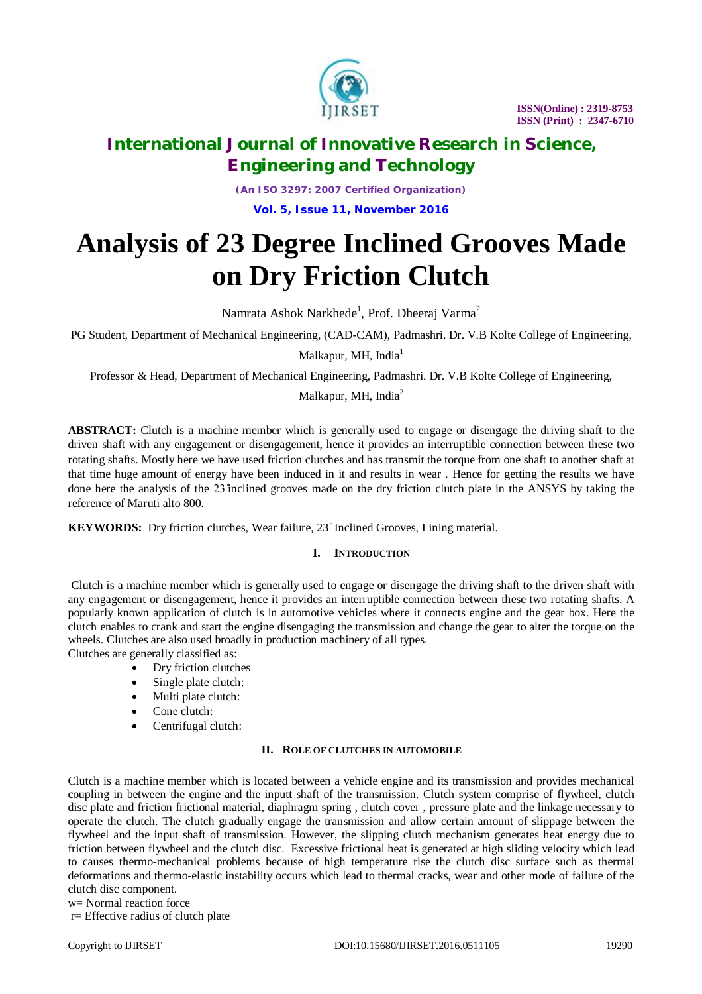

# **International Journal of Innovative Research in Science, Engineering and Technology**

*(An ISO 3297: 2007 Certified Organization)* **Vol. 5, Issue 11, November 2016**

# **Analysis of 23 Degree Inclined Grooves Made on Dry Friction Clutch**

Namrata Ashok Narkhede<sup>1</sup>, Prof. Dheeraj Varma<sup>2</sup>

PG Student, Department of Mechanical Engineering, (CAD-CAM), Padmashri. Dr. V.B Kolte College of Engineering,

Malkapur, MH, India $<sup>1</sup>$ </sup>

Professor & Head, Department of Mechanical Engineering, Padmashri. Dr. V.B Kolte College of Engineering,

Malkapur, MH, India $2$ 

**ABSTRACT:** Clutch is a machine member which is generally used to engage or disengage the driving shaft to the driven shaft with any engagement or disengagement, hence it provides an interruptible connection between these two rotating shafts. Mostly here we have used friction clutches and has transmit the torque from one shaft to another shaft at that time huge amount of energy have been induced in it and results in wear . Hence for getting the results we have done here the analysis of the 23 ̊inclined grooves made on the dry friction clutch plate in the ANSYS by taking the reference of Maruti alto 800.

KEYWORDS: Dry friction clutches, Wear failure, 23° Inclined Grooves, Lining material.

# **I. INTRODUCTION**

Clutch is a machine member which is generally used to engage or disengage the driving shaft to the driven shaft with any engagement or disengagement, hence it provides an interruptible connection between these two rotating shafts. A popularly known application of clutch is in automotive vehicles where it connects engine and the gear box. Here the clutch enables to crank and start the engine disengaging the transmission and change the gear to alter the torque on the wheels. Clutches are also used broadly in production machinery of all types.

Clutches are generally classified as:

- Dry friction clutches
- Single plate clutch:
- Multi plate clutch:
- Cone clutch:
- Centrifugal clutch:

# **II. ROLE OF CLUTCHES IN AUTOMOBILE**

Clutch is a machine member which is located between a vehicle engine and its transmission and provides mechanical coupling in between the engine and the inputt shaft of the transmission. Clutch system comprise of flywheel, clutch disc plate and friction frictional material, diaphragm spring , clutch cover , pressure plate and the linkage necessary to operate the clutch. The clutch gradually engage the transmission and allow certain amount of slippage between the flywheel and the input shaft of transmission. However, the slipping clutch mechanism generates heat energy due to friction between flywheel and the clutch disc. Excessive frictional heat is generated at high sliding velocity which lead to causes thermo-mechanical problems because of high temperature rise the clutch disc surface such as thermal deformations and thermo-elastic instability occurs which lead to thermal cracks, wear and other mode of failure of the clutch disc component.

```
w= Normal reaction force
```
r= Effective radius of clutch plate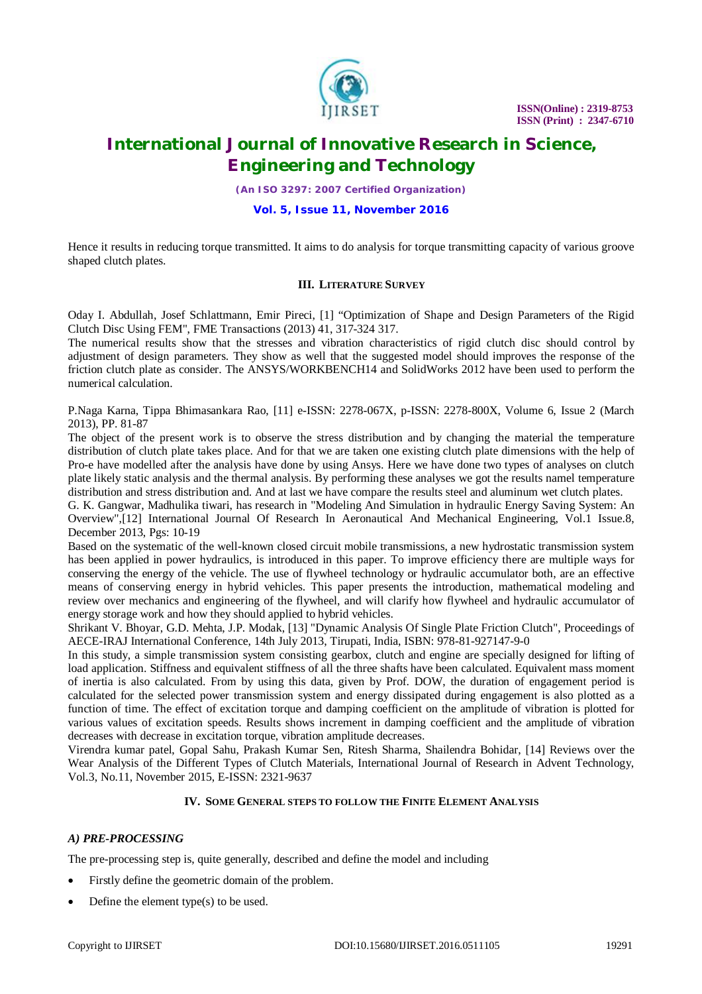

# **International Journal of Innovative Research in Science, Engineering and Technology**

*(An ISO 3297: 2007 Certified Organization)*

# **Vol. 5, Issue 11, November 2016**

Hence it results in reducing torque transmitted. It aims to do analysis for torque transmitting capacity of various groove shaped clutch plates.

# **III. LITERATURE SURVEY**

Oday I. Abdullah, Josef Schlattmann, Emir Pireci, [1] "Optimization of Shape and Design Parameters of the Rigid Clutch Disc Using FEM", FME Transactions (2013) 41, 317-324 317.

The numerical results show that the stresses and vibration characteristics of rigid clutch disc should control by adjustment of design parameters. They show as well that the suggested model should improves the response of the friction clutch plate as consider. The ANSYS/WORKBENCH14 and SolidWorks 2012 have been used to perform the numerical calculation.

P.Naga Karna, Tippa Bhimasankara Rao, [11] e-ISSN: 2278-067X, p-ISSN: 2278-800X, Volume 6, Issue 2 (March 2013), PP. 81-87

The object of the present work is to observe the stress distribution and by changing the material the temperature distribution of clutch plate takes place. And for that we are taken one existing clutch plate dimensions with the help of Pro-e have modelled after the analysis have done by using Ansys. Here we have done two types of analyses on clutch plate likely static analysis and the thermal analysis. By performing these analyses we got the results namel temperature distribution and stress distribution and. And at last we have compare the results steel and aluminum wet clutch plates.

G. K. Gangwar, Madhulika tiwari, has research in "Modeling And Simulation in hydraulic Energy Saving System: An Overview",[12] International Journal Of Research In Aeronautical And Mechanical Engineering, Vol.1 Issue.8, December 2013, Pgs: 10-19

Based on the systematic of the well-known closed circuit mobile transmissions, a new hydrostatic transmission system has been applied in power hydraulics, is introduced in this paper. To improve efficiency there are multiple ways for conserving the energy of the vehicle. The use of flywheel technology or hydraulic accumulator both, are an effective means of conserving energy in hybrid vehicles. This paper presents the introduction, mathematical modeling and review over mechanics and engineering of the flywheel, and will clarify how flywheel and hydraulic accumulator of energy storage work and how they should applied to hybrid vehicles.

Shrikant V. Bhoyar, G.D. Mehta, J.P. Modak, [13] "Dynamic Analysis Of Single Plate Friction Clutch", Proceedings of AECE-IRAJ International Conference, 14th July 2013, Tirupati, India, ISBN: 978-81-927147-9-0

In this study, a simple transmission system consisting gearbox, clutch and engine are specially designed for lifting of load application. Stiffness and equivalent stiffness of all the three shafts have been calculated. Equivalent mass moment of inertia is also calculated. From by using this data, given by Prof. DOW, the duration of engagement period is calculated for the selected power transmission system and energy dissipated during engagement is also plotted as a function of time. The effect of excitation torque and damping coefficient on the amplitude of vibration is plotted for various values of excitation speeds. Results shows increment in damping coefficient and the amplitude of vibration decreases with decrease in excitation torque, vibration amplitude decreases.

Virendra kumar patel, Gopal Sahu, Prakash Kumar Sen, Ritesh Sharma, Shailendra Bohidar, [14] Reviews over the Wear Analysis of the Different Types of Clutch Materials, International Journal of Research in Advent Technology, Vol.3, No.11, November 2015, E-ISSN: 2321-9637

# **IV. SOME GENERAL STEPS TO FOLLOW THE FINITE ELEMENT ANALYSIS**

# *A) PRE-PROCESSING*

The pre-processing step is, quite generally, described and define the model and including

- Firstly define the geometric domain of the problem.
- Define the element type(s) to be used.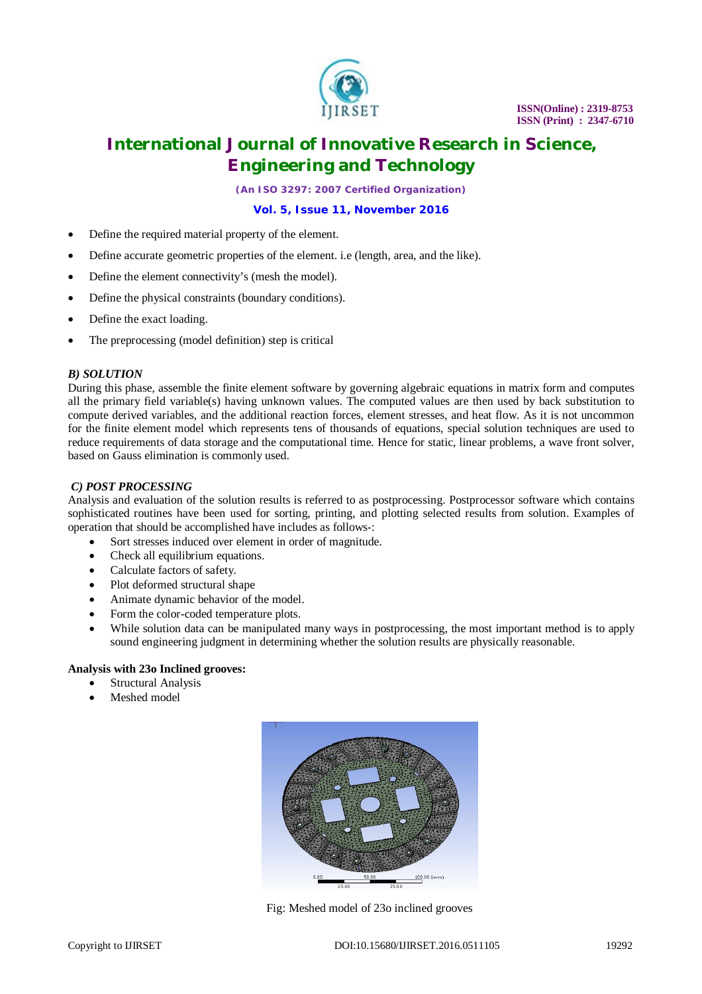

# **International Journal of Innovative Research in Science, Engineering and Technology**

*(An ISO 3297: 2007 Certified Organization)*

**Vol. 5, Issue 11, November 2016**

- Define the required material property of the element.
- Define accurate geometric properties of the element. i.e (length, area, and the like).
- Define the element connectivity's (mesh the model).
- Define the physical constraints (boundary conditions).
- Define the exact loading.
- The preprocessing (model definition) step is critical

#### *B) SOLUTION*

During this phase, assemble the finite element software by governing algebraic equations in matrix form and computes all the primary field variable(s) having unknown values. The computed values are then used by back substitution to compute derived variables, and the additional reaction forces, element stresses, and heat flow. As it is not uncommon for the finite element model which represents tens of thousands of equations, special solution techniques are used to reduce requirements of data storage and the computational time. Hence for static, linear problems, a wave front solver, based on Gauss elimination is commonly used.

#### *C) POST PROCESSING*

Analysis and evaluation of the solution results is referred to as postprocessing. Postprocessor software which contains sophisticated routines have been used for sorting, printing, and plotting selected results from solution. Examples of operation that should be accomplished have includes as follows-:

- Sort stresses induced over element in order of magnitude.
- Check all equilibrium equations.
- Calculate factors of safety.
- Plot deformed structural shape
- Animate dynamic behavior of the model.
- Form the color-coded temperature plots.
- While solution data can be manipulated many ways in postprocessing, the most important method is to apply sound engineering judgment in determining whether the solution results are physically reasonable.

# **Analysis with 23o Inclined grooves:**

- Structural Analysis
- Meshed model



Fig: Meshed model of 23o inclined grooves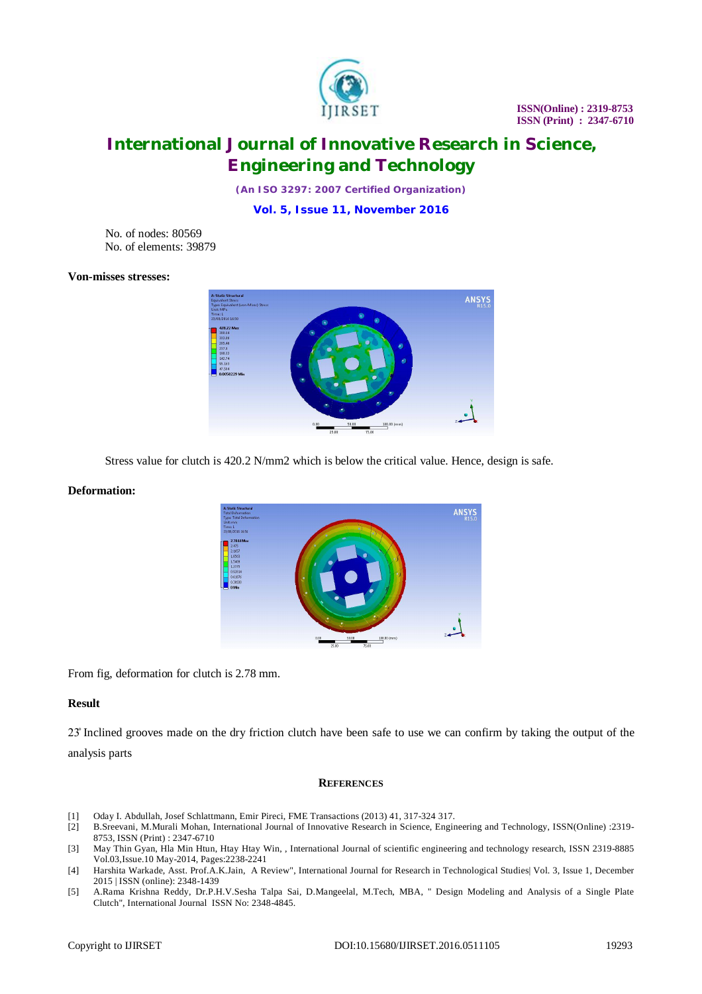

# **International Journal of Innovative Research in Science, Engineering and Technology**

*(An ISO 3297: 2007 Certified Organization)*

**Vol. 5, Issue 11, November 2016**

No. of nodes: 80569 No. of elements: 39879

# **Von-misses stresses:**



Stress value for clutch is 420.2 N/mm2 which is below the critical value. Hence, design is safe.

#### **Deformation:**



From fig, deformation for clutch is 2.78 mm.

### **Result**

23̊ Inclined grooves made on the dry friction clutch have been safe to use we can confirm by taking the output of the

analysis parts

#### **REFERENCES**

- [1] Oday I. Abdullah, Josef Schlattmann, Emir Pireci, FME Transactions (2013) 41, 317-324 317.
- [2] B.Sreevani, M.Murali Mohan, International Journal of Innovative Research in Science, Engineering and Technology, ISSN(Online) :2319- 8753, ISSN (Print) : 2347-6710
- [3] May Thin Gyan, Hla Min Htun, Htay Htay Win, , International Journal of scientific engineering and technology research, ISSN 2319-8885 Vol.03,Issue.10 May-2014, Pages:2238-2241
- [4] Harshita Warkade, Asst. Prof.A.K.Jain, A Review", International Journal for Research in Technological Studies| Vol. 3, Issue 1, December 2015 | ISSN (online): 2348-1439
- [5] A.Rama Krishna Reddy, Dr.P.H.V.Sesha Talpa Sai, D.Mangeelal, M.Tech, MBA, " Design Modeling and Analysis of a Single Plate Clutch", International Journal ISSN No: 2348-4845.